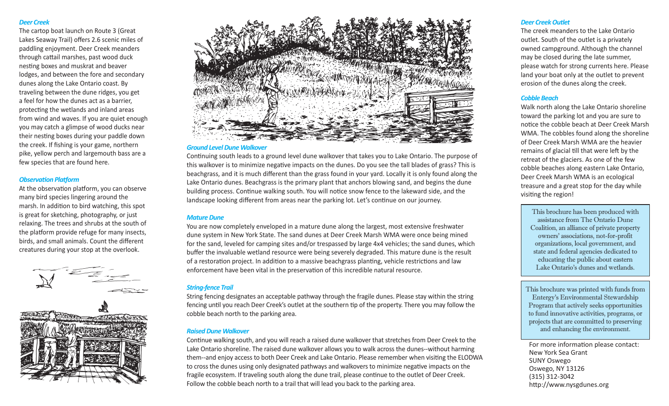### *Deer Creek*

The cartop boat launch on Route 3 (Great Lakes Seaway Trail) offers 2.6 scenic miles of paddling enjoyment. Deer Creek meanders through cattail marshes, past wood duck nesting boxes and muskrat and beaver lodges, and between the fore and secondary dunes along the Lake Ontario coast. By traveling between the dune ridges, you get a feel for how the dunes act as a barrier, protecting the wetlands and inland areas from wind and waves. If you are quiet enough you may catch a glimpse of wood ducks near their nesting boxes during your paddle down the creek. If fishing is your game, northern pike, yellow perch and largemouth bass are a few species that are found here.

### *Observation Platform*

At the observation platform, you can observe many bird species lingering around the marsh. In addition to bird watching, this spot is great for sketching, photography, or just relaxing. The trees and shrubs at the south of the platform provide refuge for many insects, birds, and small animals. Count the different creatures during your stop at the overlook.





#### *Ground Level Dune Walkover*

Continuing south leads to a ground level dune walkover that takes you to Lake Ontario. The purpose of this walkover is to minimize negative impacts on the dunes. Do you see the tall blades of grass? This is beachgrass, and it is much different than the grass found in your yard. Locally it is only found along the Lake Ontario dunes. Beachgrass is the primary plant that anchors blowing sand, and begins the dune building process. Continue walking south. You will notice snow fence to the lakeward side, and the landscape looking different from areas near the parking lot. Let's continue on our journey.

### *Mature Dune*

You are now completely enveloped in a mature dune along the largest, most extensive freshwater dune system in New York State. The sand dunes at Deer Creek Marsh WMA were once being mined for the sand, leveled for camping sites and/or trespassed by large 4x4 vehicles; the sand dunes, which buffer the invaluable wetland resource were being severely degraded. This mature dune is the result of a restoration project. In addition to a massive beachgrass planting, vehicle restrictions and law enforcement have been vital in the preservation of this incredible natural resource.

### *String-fence Trail*

String fencing designates an acceptable pathway through the fragile dunes. Please stay within the string fencing until you reach Deer Creek's outlet at the southern tip of the property. There you may follow the cobble beach north to the parking area.

### *Raised Dune Walkover*

Continue walking south, and you will reach a raised dune walkover that stretches from Deer Creek to the Lake Ontario shoreline. The raised dune walkover allows you to walk across the dunes--without harming them--and enjoy access to both Deer Creek and Lake Ontario. Please remember when visiting the ELODWA to cross the dunes using only designated pathways and walkovers to minimize negative impacts on the fragile ecosystem. If traveling south along the dune trail, please continue to the outlet of Deer Creek. Follow the cobble beach north to a trail that will lead you back to the parking area.

### *Deer Creek Outlet*

The creek meanders to the Lake Ontario outlet. South of the outlet is a privately owned campground. Although the channel may be closed during the late summer, please watch for strong currents here. Please land your boat only at the outlet to prevent erosion of the dunes along the creek.

### *Cobble Beach*

Walk north along the Lake Ontario shoreline toward the parking lot and you are sure to notice the cobble beach at Deer Creek Marsh WMA. The cobbles found along the shoreline of Deer Creek Marsh WMA are the heavier remains of glacial till that were left by the retreat of the glaciers. As one of the few cobble beaches along eastern Lake Ontario, Deer Creek Marsh WMA is an ecological treasure and a great stop for the day while visiting the region!

This brochure has been produced with assistance from The Ontario Dune Coalition, an alliance of private property owners' associations, not-for-profit organizations, local government, and state and federal agencies dedicated to educating the public about eastern Lake Ontario's dunes and wetlands.

This brochure was printed with funds from Entergy's Environmental Stewardship Program that actively seeks opportunities to fund innovative activities, programs, or projects that are committed to preserving and enhancing the environment.

For more information please contact: New York Sea Grant SUNY Oswego Oswego, NY 13126 (315) 312-3042 http://www.nysgdunes.org